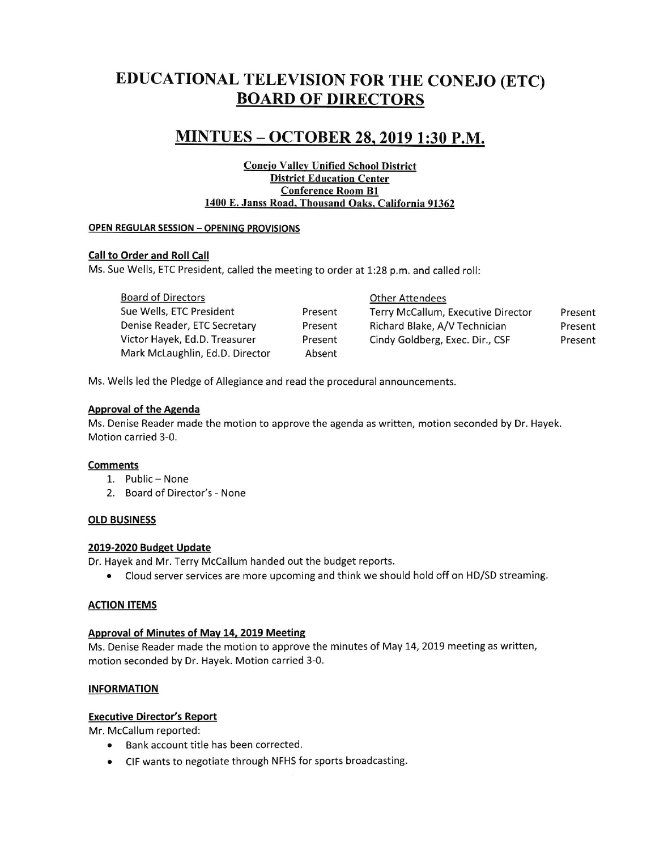# EDUCATTONAL TELEVTSTON FOR THE CONEJO (ETC) BOARD OF DIRECTORS

## MTNTUES - OCTOBER 28.2019 1:30 P.M.

#### Coneio Vallev Unified School District District Education Center Conference Room 81 1400 E. Janss Road. Thousand Oaks. California 91362

## OPEN REGULAR SESSION - OPENING PROVISIONS

## Call to Order and Roll Call

Ms. Sue Wells, ETC President, called the meeting to order at 1:28 p.m. and called roll:

| <b>Board of Directors</b>       |         | <b>Other Attendees</b>             |         |
|---------------------------------|---------|------------------------------------|---------|
| Sue Wells, ETC President        | Present | Terry McCallum, Executive Director | Present |
| Denise Reader, ETC Secretary    | Present | Richard Blake, A/V Technician      | Present |
| Victor Hayek, Ed.D. Treasurer   | Present | Cindy Goldberg, Exec. Dir., CSF    | Present |
| Mark McLaughlin, Ed.D. Director | Absent  |                                    |         |

Ms. Wells led the Pledge of Allegiance and read the procedural announcements.

## Approval of the Agenda

Ms. Denise Reader made the motion to approve the agenda as written, motion seconded by Dr. Hayek Motion carried 3-0.

#### Comments

- 1. Public None
- 2. Board of Director's None

#### OtD BUSINESS

#### 2019-2020 Budget Update

Dr. Hayek and Mr. Terry McCallum handed out the budget reports.

. Cloud server services are more upcoming and think we should hold off on HD/SD streaming.

#### ACTION ITEMS

#### Approval of Minutes of Mav 14, 2019 Meetins

Ms. Denise Reader made the motion to approve the minutes of May 14, 2019 meeting as written, motion seconded by Dr. Hayek. Motion carried 3-0.

#### INFORMATION

#### Executive Director's Report

Mr. McCallum reported:

- . Bank account title has been corrected.
- . CIF wants to negotiate through NFHS for sports broadcasting.